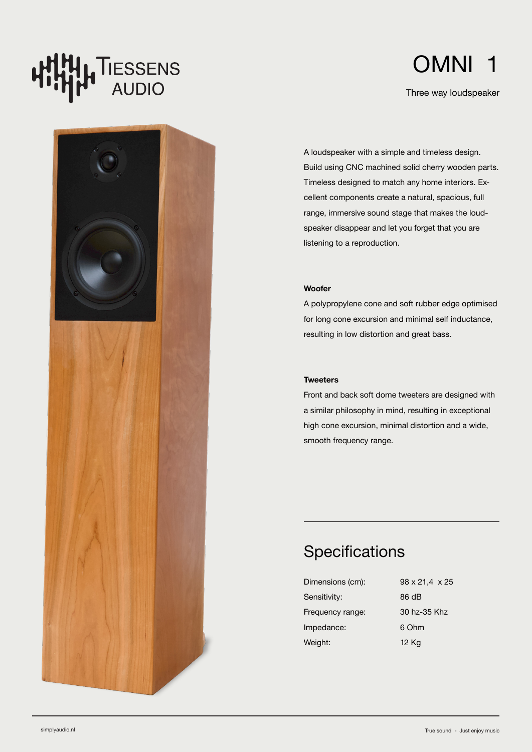# **T**IESSENS<br>AUDIO **4**



Three way loudspeaker

A loudspeaker with a simple and timeless design. Build using CNC machined solid cherry wooden parts. Timeless designed to match any home interiors. Excellent components create a natural, spacious, full range, immersive sound stage that makes the loudspeaker disappear and let you forget that you are listening to a reproduction.

### **Woofer**

A polypropylene cone and soft rubber edge optimised for long cone excursion and minimal self inductance, resulting in low distortion and great bass.

### **Tweeters**

Front and back soft dome tweeters are designed with a similar philosophy in mind, resulting in exceptional high cone excursion, minimal distortion and a wide, smooth frequency range.

## **Specifications**

| Dimensions (cm): | 98 x 21.4 x 25 |
|------------------|----------------|
| Sensitivity:     | 86 dB          |
| Frequency range: | 30 hz-35 Khz   |
| Impedance:       | 6 Ohm          |
| Weight:          | 12 Kg          |